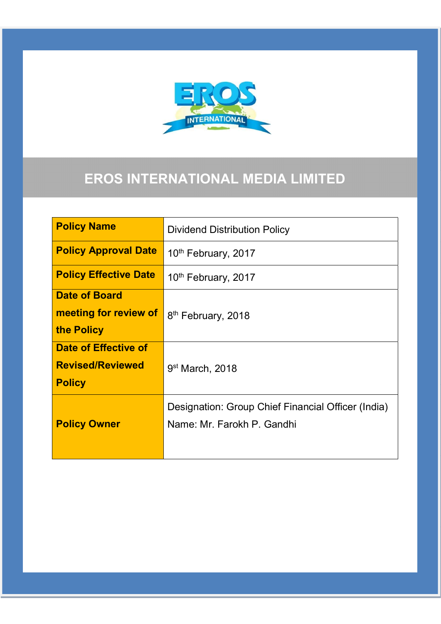

# EROS INTERNATIONAL MEDIA LIMITED

| <b>Policy Name</b>           | <b>Dividend Distribution Policy</b>                |  |  |
|------------------------------|----------------------------------------------------|--|--|
| <b>Policy Approval Date</b>  | 10 <sup>th</sup> February, 2017                    |  |  |
| <b>Policy Effective Date</b> | 10 <sup>th</sup> February, 2017                    |  |  |
| <b>Date of Board</b>         |                                                    |  |  |
| meeting for review of        | 8 <sup>th</sup> February, 2018                     |  |  |
| the Policy                   |                                                    |  |  |
| <b>Date of Effective of</b>  |                                                    |  |  |
| <b>Revised/Reviewed</b>      | $9st$ March, 2018                                  |  |  |
| <b>Policy</b>                |                                                    |  |  |
|                              | Designation: Group Chief Financial Officer (India) |  |  |
| <b>Policy Owner</b>          | Name: Mr. Farokh P. Gandhi                         |  |  |
|                              |                                                    |  |  |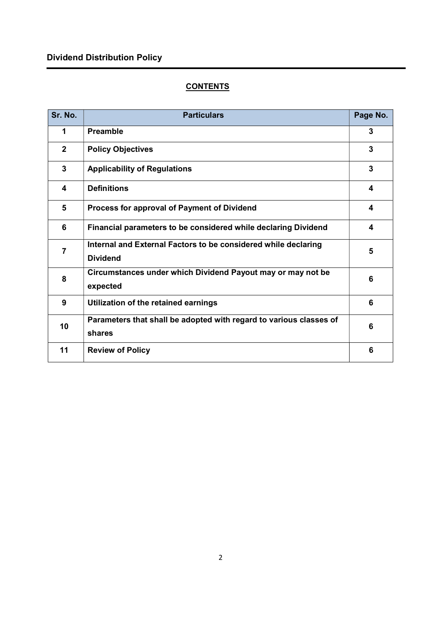## Dividend Distribution Policy

### **CONTENTS**

| Sr. No.      | <b>Particulars</b>                                                                | Page No. |
|--------------|-----------------------------------------------------------------------------------|----------|
| 1            | <b>Preamble</b>                                                                   | 3        |
| $\mathbf{2}$ | <b>Policy Objectives</b>                                                          | 3        |
| 3            | <b>Applicability of Regulations</b>                                               | 3        |
| 4            | <b>Definitions</b>                                                                | 4        |
| 5            | Process for approval of Payment of Dividend                                       | 4        |
| 6            | Financial parameters to be considered while declaring Dividend                    | 4        |
| 7            | Internal and External Factors to be considered while declaring<br><b>Dividend</b> | 5        |
| 8            | Circumstances under which Dividend Payout may or may not be<br>expected           | 6        |
| 9            | Utilization of the retained earnings                                              | 6        |
| 10           | Parameters that shall be adopted with regard to various classes of<br>shares      | 6        |
| 11           | <b>Review of Policy</b>                                                           | 6        |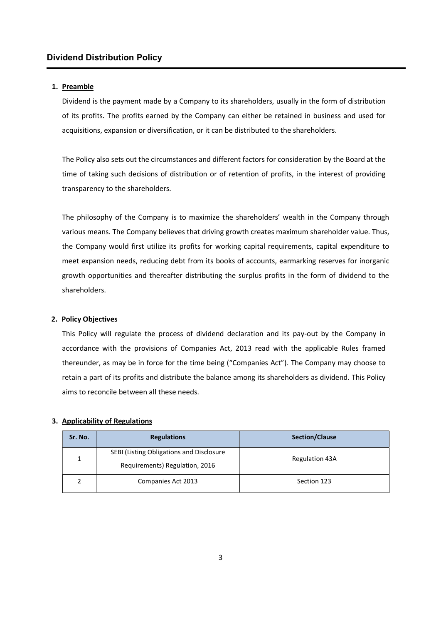#### 1. Preamble

Dividend is the payment made by a Company to its shareholders, usually in the form of distribution of its profits. The profits earned by the Company can either be retained in business and used for acquisitions, expansion or diversification, or it can be distributed to the shareholders.

The Policy also sets out the circumstances and different factors for consideration by the Board at the time of taking such decisions of distribution or of retention of profits, in the interest of providing transparency to the shareholders.

The philosophy of the Company is to maximize the shareholders' wealth in the Company through various means. The Company believes that driving growth creates maximum shareholder value. Thus, the Company would first utilize its profits for working capital requirements, capital expenditure to meet expansion needs, reducing debt from its books of accounts, earmarking reserves for inorganic growth opportunities and thereafter distributing the surplus profits in the form of dividend to the shareholders.

#### 2. Policy Objectives

This Policy will regulate the process of dividend declaration and its pay-out by the Company in accordance with the provisions of Companies Act, 2013 read with the applicable Rules framed thereunder, as may be in force for the time being ("Companies Act"). The Company may choose to retain a part of its profits and distribute the balance among its shareholders as dividend. This Policy aims to reconcile between all these needs.

#### 3. Applicability of Regulations

| Sr. No. | <b>Regulations</b>                                                | <b>Section/Clause</b> |  |
|---------|-------------------------------------------------------------------|-----------------------|--|
|         | SEBI (Listing Obligations and Disclosure<br><b>Regulation 43A</b> |                       |  |
|         | Requirements) Regulation, 2016                                    |                       |  |
|         | Companies Act 2013                                                | Section 123           |  |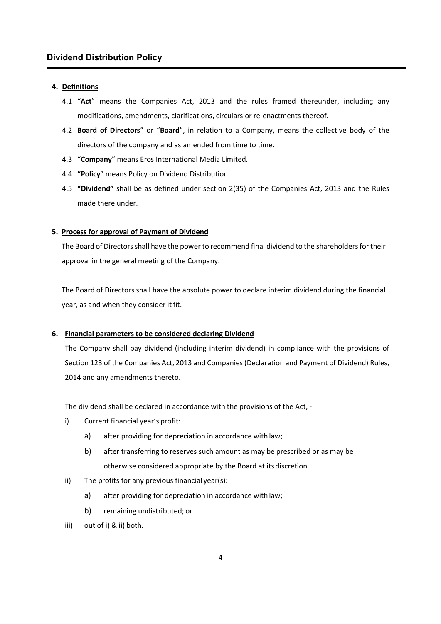#### 4. Definitions

- 4.1 "Act" means the Companies Act, 2013 and the rules framed thereunder, including any modifications, amendments, clarifications, circulars or re-enactments thereof.
- 4.2 Board of Directors" or "Board", in relation to a Company, means the collective body of the directors of the company and as amended from time to time.
- 4.3 "Company" means Eros International Media Limited.
- 4.4 "Policy" means Policy on Dividend Distribution
- 4.5 "Dividend" shall be as defined under section 2(35) of the Companies Act, 2013 and the Rules made there under.

#### 5. Process for approval of Payment of Dividend

The Board of Directors shall have the power to recommend final dividend to the shareholders for their approval in the general meeting of the Company.

The Board of Directors shall have the absolute power to declare interim dividend during the financial year, as and when they consider it fit.

#### 6. Financial parameters to be considered declaring Dividend

The Company shall pay dividend (including interim dividend) in compliance with the provisions of Section 123 of the Companies Act, 2013 and Companies (Declaration and Payment of Dividend) Rules, 2014 and any amendments thereto.

The dividend shall be declared in accordance with the provisions of the Act, -

- i) Current financial year's profit:
	- a) after providing for depreciation in accordance with law;
	- b) after transferring to reserves such amount as may be prescribed or as may be otherwise considered appropriate by the Board at its discretion.
- ii) The profits for any previous financial year(s):
	- a) after providing for depreciation in accordance with law;
	- b) remaining undistributed; or
- iii) out of i) & ii) both.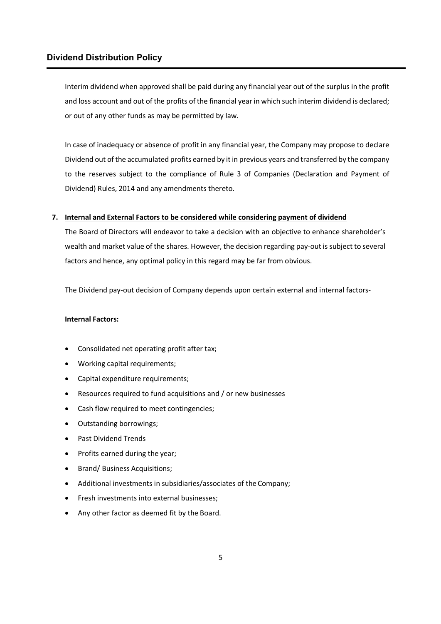Interim dividend when approved shall be paid during any financial year out of the surplus in the profit and loss account and out of the profits of the financial year in which such interim dividend is declared; or out of any other funds as may be permitted by law.

In case of inadequacy or absence of profit in any financial year, the Company may propose to declare Dividend out of the accumulated profits earned by it in previous years and transferred by the company to the reserves subject to the compliance of Rule 3 of Companies (Declaration and Payment of Dividend) Rules, 2014 and any amendments thereto.

#### 7. Internal and External Factors to be considered while considering payment of dividend

The Board of Directors will endeavor to take a decision with an objective to enhance shareholder's wealth and market value of the shares. However, the decision regarding pay-out is subject to several factors and hence, any optimal policy in this regard may be far from obvious.

The Dividend pay-out decision of Company depends upon certain external and internal factors-

#### Internal Factors:

- Consolidated net operating profit after tax;
- Working capital requirements;
- Capital expenditure requirements;
- Resources required to fund acquisitions and / or new businesses
- Cash flow required to meet contingencies;
- Outstanding borrowings;
- Past Dividend Trends
- Profits earned during the year;
- Brand/ Business Acquisitions;
- Additional investments in subsidiaries/associates of the Company;
- Fresh investments into external businesses;
- Any other factor as deemed fit by the Board.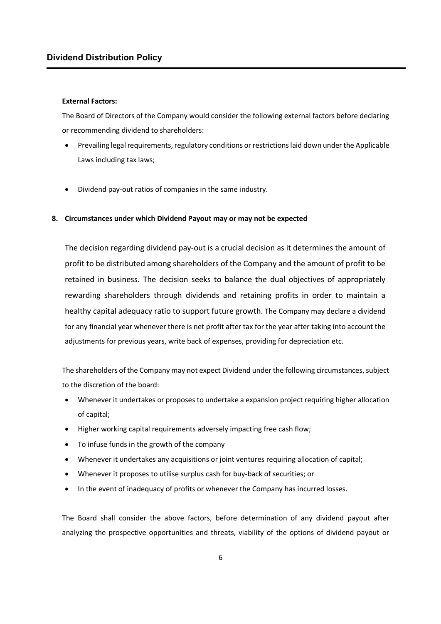#### External Factors:

The Board of Directors of the Company would consider the following external factors before declaring or recommending dividend to shareholders:

- Prevailing legal requirements, regulatory conditions or restrictions laid down under the Applicable Laws including tax laws;
- Dividend pay-out ratios of companies in the same industry.

#### 8. Circumstances under which Dividend Payout may or may not be expected

The decision regarding dividend pay-out is a crucial decision as it determines the amount of profit to be distributed among shareholders of the Company and the amount of profit to be retained in business. The decision seeks to balance the dual objectives of appropriately rewarding shareholders through dividends and retaining profits in order to maintain a healthy capital adequacy ratio to support future growth. The Company may declare a dividend for any financial year whenever there is net profit after tax for the year after taking into account the adjustments for previous years, write back of expenses, providing for depreciation etc.

The shareholders of the Company may not expect Dividend under the following circumstances, subject to the discretion of the board:

- Whenever it undertakes or proposes to undertake a expansion project requiring higher allocation of capital;
- Higher working capital requirements adversely impacting free cash flow;
- To infuse funds in the growth of the company
- Whenever it undertakes any acquisitions or joint ventures requiring allocation of capital;
- Whenever it proposes to utilise surplus cash for buy-back of securities; or
- In the event of inadequacy of profits or whenever the Company has incurred losses.

The Board shall consider the above factors, before determination of any dividend payout after analyzing the prospective opportunities and threats, viability of the options of dividend payout or